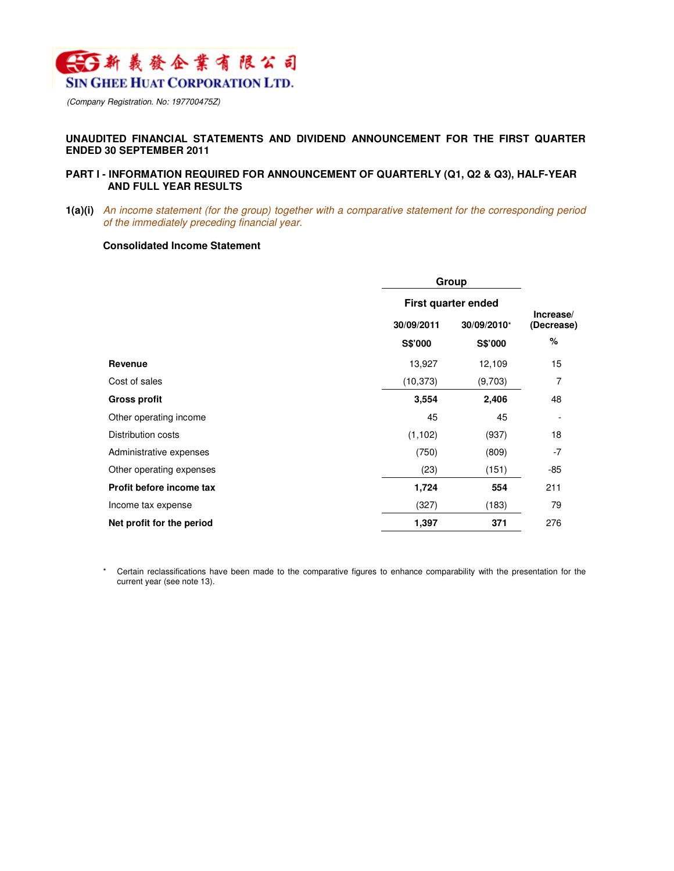

(Company Registration. No: 197700475Z)

## **UNAUDITED FINANCIAL STATEMENTS AND DIVIDEND ANNOUNCEMENT FOR THE FIRST QUARTER ENDED 30 SEPTEMBER 2011**

## **PART I - INFORMATION REQUIRED FOR ANNOUNCEMENT OF QUARTERLY (Q1, Q2 & Q3), HALF-YEAR AND FULL YEAR RESULTS**

**1(a)(i)** An income statement (for the group) together with a comparative statement for the corresponding period of the immediately preceding financial year.

### **Consolidated Income Statement**

|                           | Group                     |         |                         |
|---------------------------|---------------------------|---------|-------------------------|
|                           | First quarter ended       |         |                         |
|                           | 30/09/2011<br>30/09/2010* |         | Increase/<br>(Decrease) |
|                           | S\$'000                   | S\$'000 | %                       |
| Revenue                   | 13,927                    | 12,109  | 15                      |
| Cost of sales             | (10, 373)                 | (9,703) | 7                       |
| <b>Gross profit</b>       | 3,554                     | 2,406   | 48                      |
| Other operating income    | 45                        | 45      |                         |
| Distribution costs        | (1, 102)                  | (937)   | 18                      |
| Administrative expenses   | (750)                     | (809)   | $-7$                    |
| Other operating expenses  | (23)                      | (151)   | -85                     |
| Profit before income tax  | 1,724                     | 554     | 211                     |
| Income tax expense        | (327)                     | (183)   | 79                      |
| Net profit for the period | 1,397                     | 371     | 276                     |

\* Certain reclassifications have been made to the comparative figures to enhance comparability with the presentation for the current year (see note 13).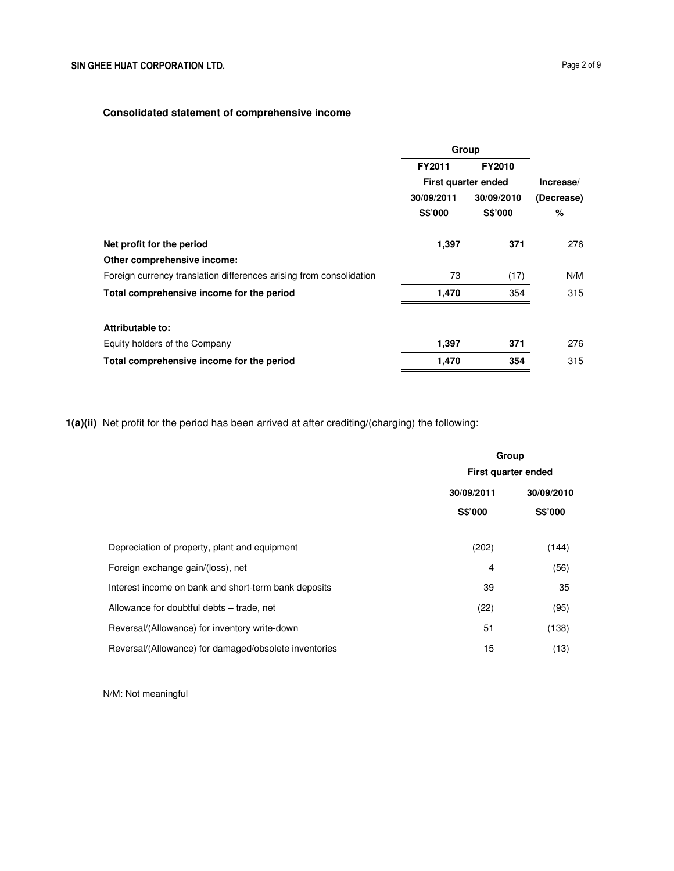# **Consolidated statement of comprehensive income**

|                                                                     | Group                        |                              |                    |
|---------------------------------------------------------------------|------------------------------|------------------------------|--------------------|
|                                                                     | FY2011                       | FY2010                       |                    |
|                                                                     | First quarter ended          |                              | Increase/          |
|                                                                     | 30/09/2011<br><b>S\$'000</b> | 30/09/2010<br><b>S\$'000</b> | (Decrease)<br>$\%$ |
| Net profit for the period                                           | 1,397                        | 371                          | 276                |
| Other comprehensive income:                                         |                              |                              |                    |
| Foreign currency translation differences arising from consolidation | 73                           | (17)                         | N/M                |
| Total comprehensive income for the period                           | 1,470                        | 354                          | 315                |
| Attributable to:                                                    |                              |                              |                    |
| Equity holders of the Company                                       | 1,397                        | 371                          | 276                |
| Total comprehensive income for the period                           | 1,470                        | 354                          | 315                |

**1(a)(ii)** Net profit for the period has been arrived at after crediting/(charging) the following:

|                                                       | Group               |            |
|-------------------------------------------------------|---------------------|------------|
|                                                       | First quarter ended |            |
|                                                       | 30/09/2011          | 30/09/2010 |
|                                                       | <b>S\$'000</b>      | S\$'000    |
| Depreciation of property, plant and equipment         | (202)               | (144)      |
| Foreign exchange gain/(loss), net                     | 4                   | (56)       |
| Interest income on bank and short-term bank deposits  | 39                  | 35         |
| Allowance for doubtful debts - trade, net             | (22)                | (95)       |
| Reversal/(Allowance) for inventory write-down         | 51                  | (138)      |
| Reversal/(Allowance) for damaged/obsolete inventories | 15                  | (13)       |

N/M: Not meaningful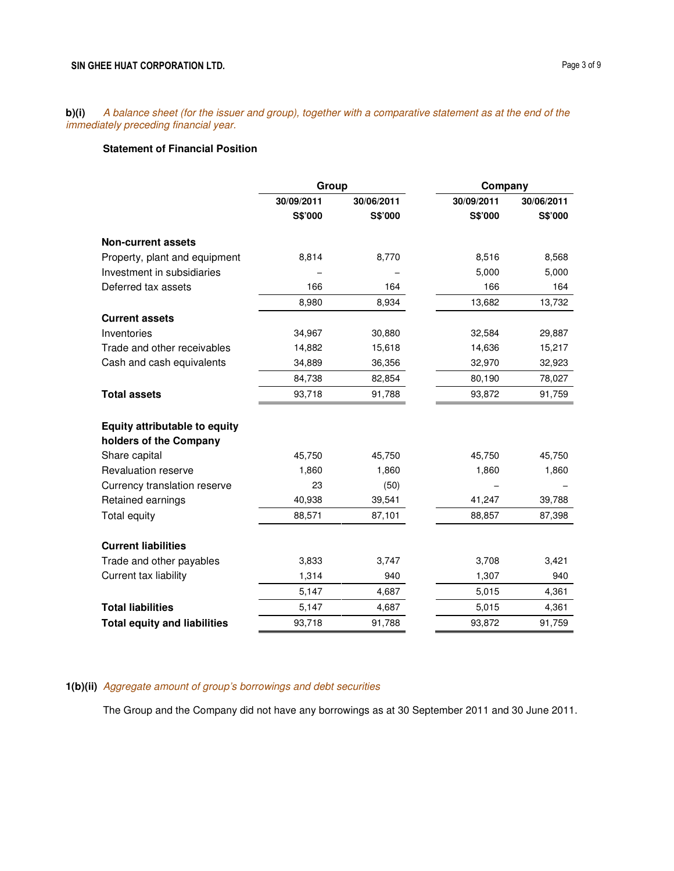**b)(i)** A balance sheet (for the issuer and group), together with a comparative statement as at the end of the immediately preceding financial year.

# **Statement of Financial Position**

|                                      | Group      |            | Company    |            |
|--------------------------------------|------------|------------|------------|------------|
|                                      | 30/09/2011 | 30/06/2011 | 30/09/2011 | 30/06/2011 |
|                                      | S\$'000    | S\$'000    | S\$'000    | S\$'000    |
| <b>Non-current assets</b>            |            |            |            |            |
| Property, plant and equipment        | 8,814      | 8,770      | 8,516      | 8,568      |
| Investment in subsidiaries           |            |            | 5,000      | 5,000      |
| Deferred tax assets                  | 166        | 164        | 166        | 164        |
|                                      | 8,980      | 8,934      | 13,682     | 13,732     |
| <b>Current assets</b>                |            |            |            |            |
| Inventories                          | 34,967     | 30,880     | 32,584     | 29,887     |
| Trade and other receivables          | 14,882     | 15,618     | 14,636     | 15,217     |
| Cash and cash equivalents            | 34,889     | 36,356     | 32,970     | 32,923     |
|                                      | 84,738     | 82,854     | 80,190     | 78,027     |
| <b>Total assets</b>                  | 93,718     | 91,788     | 93,872     | 91,759     |
| <b>Equity attributable to equity</b> |            |            |            |            |
| holders of the Company               |            |            |            |            |
| Share capital                        | 45,750     | 45,750     | 45,750     | 45,750     |
| <b>Revaluation reserve</b>           | 1,860      | 1,860      | 1,860      | 1,860      |
| Currency translation reserve         | 23         | (50)       |            |            |
| Retained earnings                    | 40,938     | 39,541     | 41,247     | 39,788     |
| Total equity                         | 88,571     | 87,101     | 88,857     | 87,398     |
| <b>Current liabilities</b>           |            |            |            |            |
| Trade and other payables             | 3,833      | 3,747      | 3,708      | 3,421      |
| Current tax liability                | 1,314      | 940        | 1,307      | 940        |
|                                      | 5,147      | 4,687      | 5,015      | 4,361      |
| <b>Total liabilities</b>             | 5,147      | 4,687      | 5,015      | 4,361      |
| <b>Total equity and liabilities</b>  | 93,718     | 91,788     | 93,872     | 91,759     |

# **1(b)(ii)** Aggregate amount of group's borrowings and debt securities

The Group and the Company did not have any borrowings as at 30 September 2011 and 30 June 2011.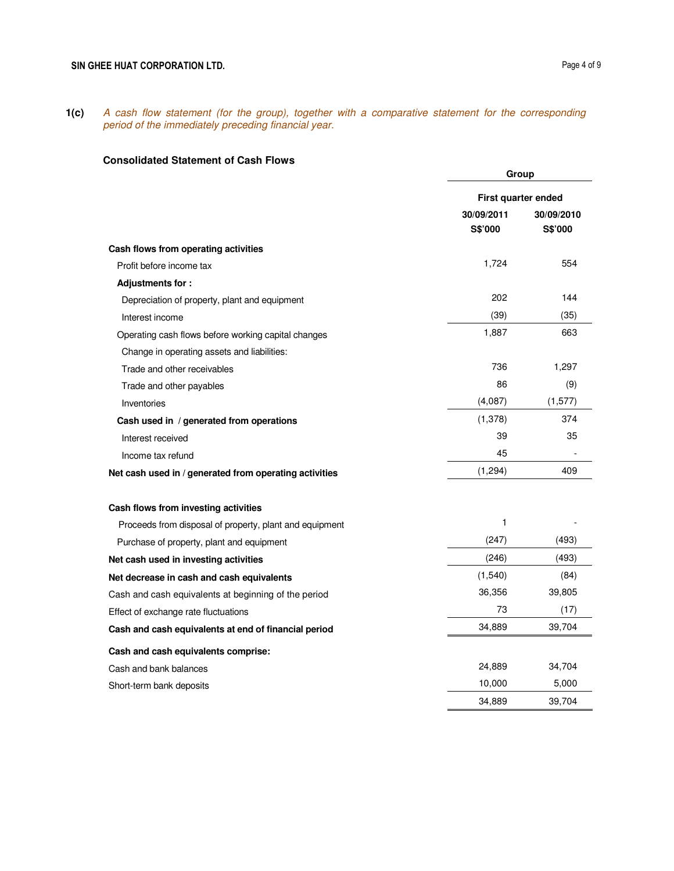**1(c)** A cash flow statement (for the group), together with a comparative statement for the corresponding period of the immediately preceding financial year.

## **Consolidated Statement of Cash Flows**

|                                                         | Group                 |                       |
|---------------------------------------------------------|-----------------------|-----------------------|
|                                                         | First quarter ended   |                       |
|                                                         | 30/09/2011<br>S\$'000 | 30/09/2010<br>S\$'000 |
| Cash flows from operating activities                    |                       |                       |
| Profit before income tax                                | 1,724                 | 554                   |
| Adjustments for:                                        |                       |                       |
| Depreciation of property, plant and equipment           | 202                   | 144                   |
| Interest income                                         | (39)                  | (35)                  |
| Operating cash flows before working capital changes     | 1,887                 | 663                   |
| Change in operating assets and liabilities:             |                       |                       |
| Trade and other receivables                             | 736                   | 1,297                 |
| Trade and other payables                                | 86                    | (9)                   |
| Inventories                                             | (4,087)               | (1, 577)              |
| Cash used in / generated from operations                | (1, 378)              | 374                   |
| Interest received                                       | 39                    | 35                    |
| Income tax refund                                       | 45                    |                       |
| Net cash used in / generated from operating activities  | (1, 294)              | 409                   |
| Cash flows from investing activities                    |                       |                       |
| Proceeds from disposal of property, plant and equipment | 1                     |                       |
| Purchase of property, plant and equipment               | (247)                 | (493)                 |
| Net cash used in investing activities                   | (246)                 | (493)                 |
| Net decrease in cash and cash equivalents               | (1, 540)              | (84)                  |
| Cash and cash equivalents at beginning of the period    | 36,356                | 39,805                |
| Effect of exchange rate fluctuations                    | 73                    | (17)                  |
| Cash and cash equivalents at end of financial period    | 34,889                | 39,704                |
| Cash and cash equivalents comprise:                     |                       |                       |
| Cash and bank balances                                  | 24,889                | 34,704                |
| Short-term bank deposits                                | 10,000                | 5,000                 |
|                                                         | 34,889                | 39,704                |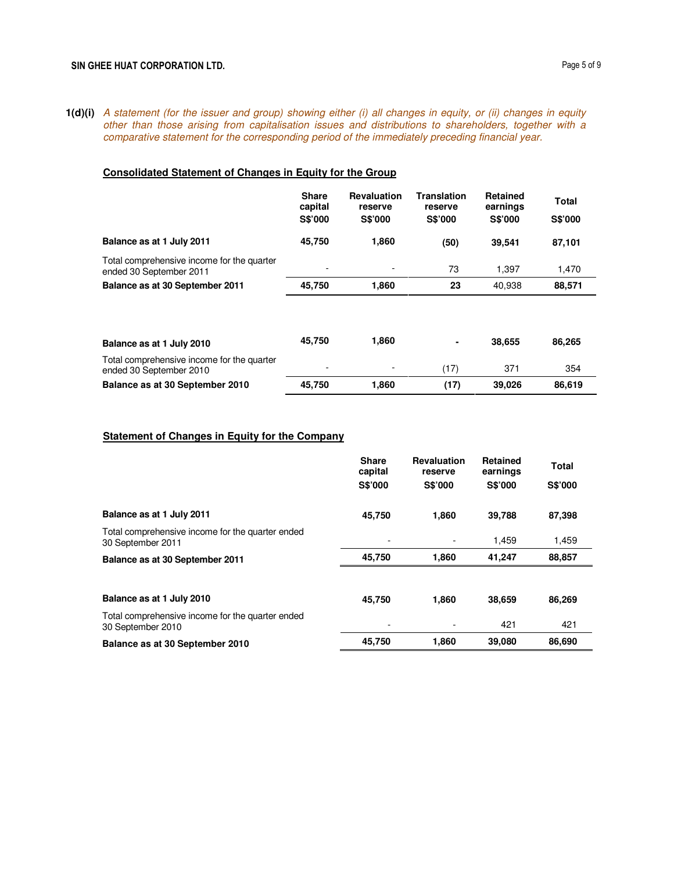**1(d)(i)** A statement (for the issuer and group) showing either (i) all changes in equity, or (ii) changes in equity other than those arising from capitalisation issues and distributions to shareholders, together with a comparative statement for the corresponding period of the immediately preceding financial year.

# **Consolidated Statement of Changes in Equity for the Group**

|                                                                       | <b>Share</b><br>capital<br><b>S\$'000</b> | <b>Revaluation</b><br>reserve<br><b>S\$'000</b> | <b>Translation</b><br>reserve<br>S\$'000 | <b>Retained</b><br>earnings<br><b>S\$'000</b> | <b>Total</b><br><b>S\$'000</b> |
|-----------------------------------------------------------------------|-------------------------------------------|-------------------------------------------------|------------------------------------------|-----------------------------------------------|--------------------------------|
| Balance as at 1 July 2011                                             | 45,750                                    | 1,860                                           | (50)                                     | 39.541                                        | 87,101                         |
| Total comprehensive income for the quarter<br>ended 30 September 2011 |                                           |                                                 | 73                                       | 1,397                                         | 1,470                          |
| Balance as at 30 September 2011                                       | 45,750                                    | 1,860                                           | 23                                       | 40,938                                        | 88,571                         |
|                                                                       | 45.750                                    | 1.860                                           | ۰                                        | 38.655                                        | 86,265                         |
| Balance as at 1 July 2010                                             |                                           |                                                 |                                          |                                               |                                |
| Total comprehensive income for the quarter<br>ended 30 September 2010 |                                           |                                                 | (17)                                     | 371                                           | 354                            |
| Balance as at 30 September 2010                                       | 45.750                                    | 1.860                                           | (17)                                     | 39,026                                        | 86,619                         |

## **Statement of Changes in Equity for the Company**

|                                                                       | <b>Share</b><br>capital | <b>Revaluation</b><br>reserve | <b>Retained</b><br>earnings | <b>Total</b>   |
|-----------------------------------------------------------------------|-------------------------|-------------------------------|-----------------------------|----------------|
|                                                                       | <b>S\$'000</b>          | <b>S\$'000</b>                | <b>S\$'000</b>              | <b>S\$'000</b> |
| Balance as at 1 July 2011                                             | 45,750                  | 1.860                         | 39,788                      | 87,398         |
| Total comprehensive income for the quarter ended<br>30 September 2011 |                         |                               | 1,459                       | 1,459          |
| Balance as at 30 September 2011                                       | 45,750                  | 1,860                         | 41,247                      | 88,857         |
| Balance as at 1 July 2010                                             | 45,750                  | 1,860                         | 38,659                      | 86,269         |
| Total comprehensive income for the quarter ended<br>30 September 2010 |                         |                               | 421                         | 421            |
| Balance as at 30 September 2010                                       | 45,750                  | 1,860                         | 39,080                      | 86,690         |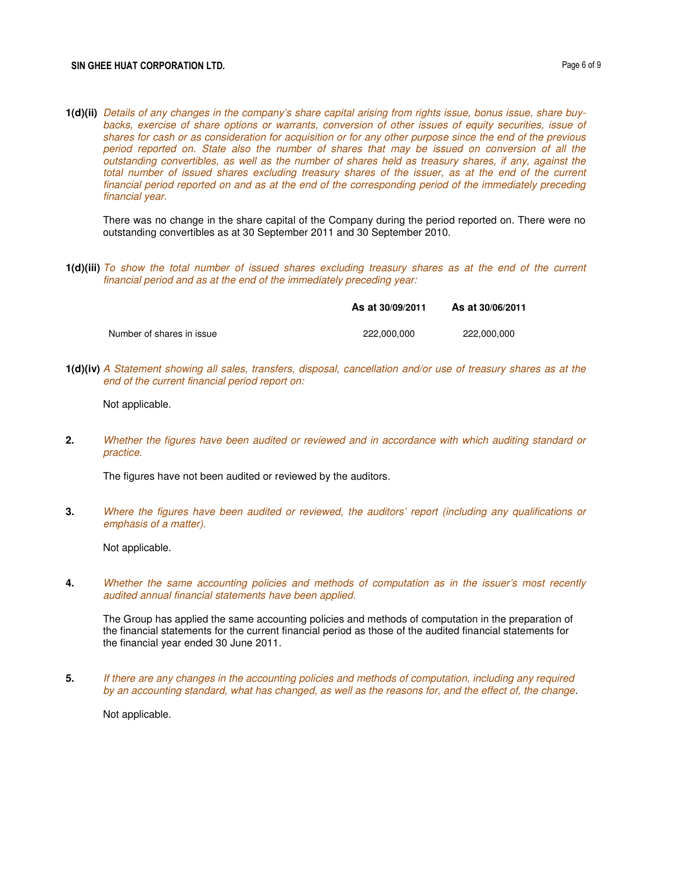### SIN GHEE HUAT CORPORATION LTD. **Page 6 of 9**

**1(d)(ii)** Details of any changes in the company's share capital arising from rights issue, bonus issue, share buybacks, exercise of share options or warrants, conversion of other issues of equity securities, issue of shares for cash or as consideration for acquisition or for any other purpose since the end of the previous period reported on. State also the number of shares that may be issued on conversion of all the outstanding convertibles, as well as the number of shares held as treasury shares, if any, against the total number of issued shares excluding treasury shares of the issuer, as at the end of the current financial period reported on and as at the end of the corresponding period of the immediately preceding financial year.

There was no change in the share capital of the Company during the period reported on. There were no outstanding convertibles as at 30 September 2011 and 30 September 2010.

**1(d)(iii)** To show the total number of issued shares excluding treasury shares as at the end of the current financial period and as at the end of the immediately preceding year:

|                           | As at 30/09/2011 | As at 30/06/2011 |
|---------------------------|------------------|------------------|
| Number of shares in issue | 222,000,000      | 222.000.000      |

**1(d)(iv)** A Statement showing all sales, transfers, disposal, cancellation and/or use of treasury shares as at the end of the current financial period report on:

Not applicable.

**2.** Whether the figures have been audited or reviewed and in accordance with which auditing standard or practice.

The figures have not been audited or reviewed by the auditors.

**3.** Where the figures have been audited or reviewed, the auditors' report (including any qualifications or emphasis of a matter).

Not applicable.

**4.** Whether the same accounting policies and methods of computation as in the issuer's most recently audited annual financial statements have been applied.

The Group has applied the same accounting policies and methods of computation in the preparation of the financial statements for the current financial period as those of the audited financial statements for the financial year ended 30 June 2011.

**5.** If there are any changes in the accounting policies and methods of computation, including any required by an accounting standard, what has changed, as well as the reasons for, and the effect of, the change.

Not applicable.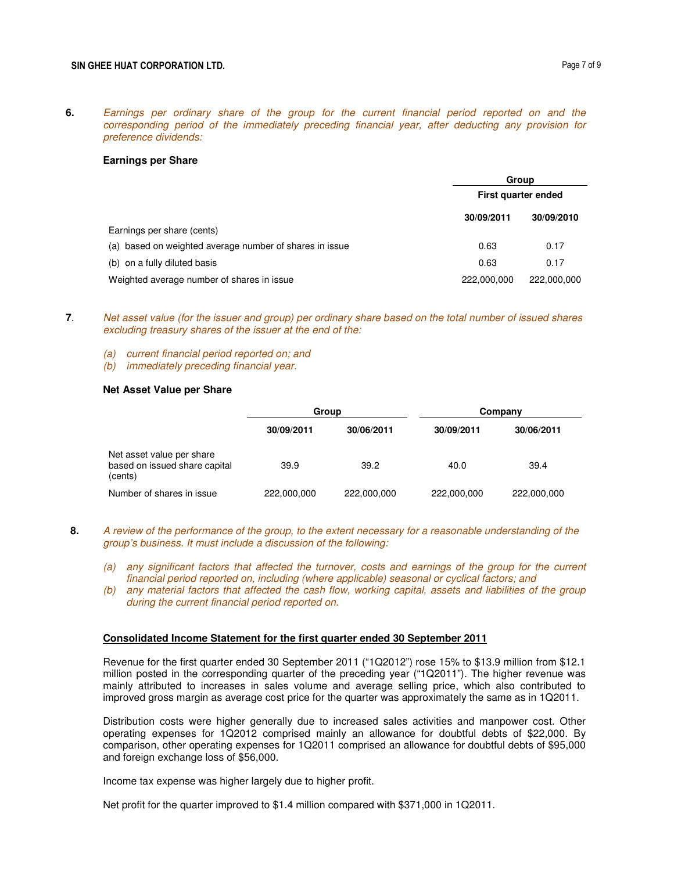**6.** Earnings per ordinary share of the group for the current financial period reported on and the corresponding period of the immediately preceding financial year, after deducting any provision for preference dividends:

#### **Earnings per Share**

|                                                         | Group               |             |
|---------------------------------------------------------|---------------------|-------------|
|                                                         | First quarter ended |             |
|                                                         | 30/09/2011          | 30/09/2010  |
| Earnings per share (cents)                              |                     |             |
| (a) based on weighted average number of shares in issue | 0.63                | 0.17        |
| (b) on a fully diluted basis                            | 0.63                | 0.17        |
| Weighted average number of shares in issue              | 222,000,000         | 222,000,000 |

- **7**. Net asset value (for the issuer and group) per ordinary share based on the total number of issued shares excluding treasury shares of the issuer at the end of the:
	- (a) current financial period reported on; and
	- (b) immediately preceding financial year.

### **Net Asset Value per Share**

|                                                                       | Group       |             |             | Company     |
|-----------------------------------------------------------------------|-------------|-------------|-------------|-------------|
|                                                                       | 30/09/2011  | 30/06/2011  | 30/09/2011  | 30/06/2011  |
| Net asset value per share<br>based on issued share capital<br>(cents) | 39.9        | 39.2        | 40.0        | 39.4        |
| Number of shares in issue                                             | 222,000,000 | 222,000,000 | 222,000,000 | 222,000,000 |

- **8.** A review of the performance of the group, to the extent necessary for a reasonable understanding of the group's business. It must include a discussion of the following:
	- (a) any significant factors that affected the turnover, costs and earnings of the group for the current financial period reported on, including (where applicable) seasonal or cyclical factors; and
	- (b) any material factors that affected the cash flow, working capital, assets and liabilities of the group during the current financial period reported on.

### **Consolidated Income Statement for the first quarter ended 30 September 2011**

Revenue for the first quarter ended 30 September 2011 ("1Q2012") rose 15% to \$13.9 million from \$12.1 million posted in the corresponding quarter of the preceding year ("1Q2011"). The higher revenue was mainly attributed to increases in sales volume and average selling price, which also contributed to improved gross margin as average cost price for the quarter was approximately the same as in 1Q2011.

Distribution costs were higher generally due to increased sales activities and manpower cost. Other operating expenses for 1Q2012 comprised mainly an allowance for doubtful debts of \$22,000. By comparison, other operating expenses for 1Q2011 comprised an allowance for doubtful debts of \$95,000 and foreign exchange loss of \$56,000.

Income tax expense was higher largely due to higher profit.

Net profit for the quarter improved to \$1.4 million compared with \$371,000 in 1Q2011.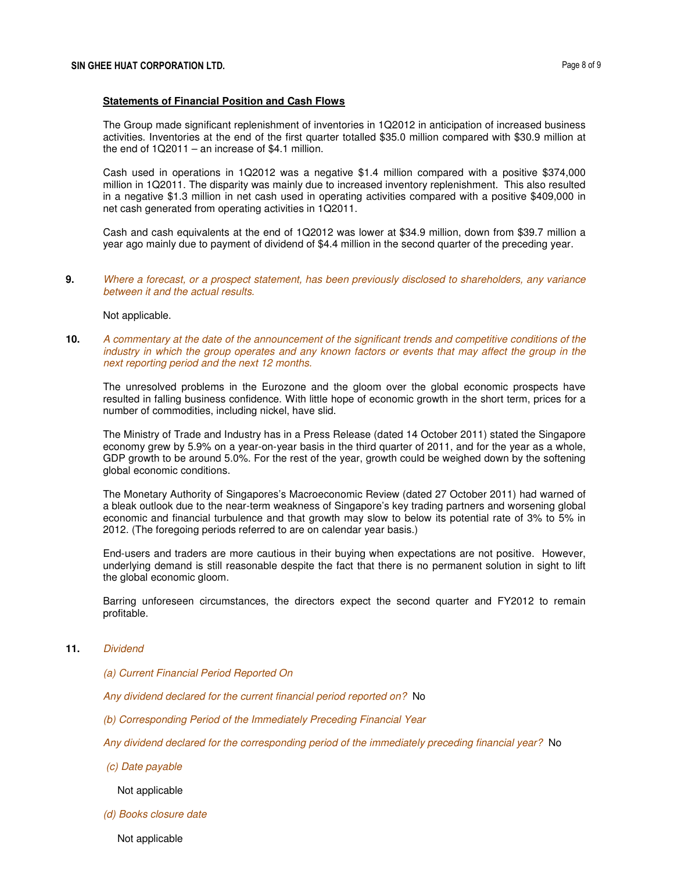#### **Statements of Financial Position and Cash Flows**

The Group made significant replenishment of inventories in 1Q2012 in anticipation of increased business activities. Inventories at the end of the first quarter totalled \$35.0 million compared with \$30.9 million at the end of  $1Q2011 -$  an increase of \$4.1 million.

Cash used in operations in 1Q2012 was a negative \$1.4 million compared with a positive \$374,000 million in 1Q2011. The disparity was mainly due to increased inventory replenishment. This also resulted in a negative \$1.3 million in net cash used in operating activities compared with a positive \$409,000 in net cash generated from operating activities in 1Q2011.

Cash and cash equivalents at the end of 1Q2012 was lower at \$34.9 million, down from \$39.7 million a year ago mainly due to payment of dividend of \$4.4 million in the second quarter of the preceding year.

**9.** Where a forecast, or a prospect statement, has been previously disclosed to shareholders, any variance between it and the actual results.

#### Not applicable.

**10.** A commentary at the date of the announcement of the significant trends and competitive conditions of the industry in which the group operates and any known factors or events that may affect the group in the next reporting period and the next 12 months.

The unresolved problems in the Eurozone and the gloom over the global economic prospects have resulted in falling business confidence. With little hope of economic growth in the short term, prices for a number of commodities, including nickel, have slid.

The Ministry of Trade and Industry has in a Press Release (dated 14 October 2011) stated the Singapore economy grew by 5.9% on a year-on-year basis in the third quarter of 2011, and for the year as a whole, GDP growth to be around 5.0%. For the rest of the year, growth could be weighed down by the softening global economic conditions.

The Monetary Authority of Singapores's Macroeconomic Review (dated 27 October 2011) had warned of a bleak outlook due to the near-term weakness of Singapore's key trading partners and worsening global economic and financial turbulence and that growth may slow to below its potential rate of 3% to 5% in 2012. (The foregoing periods referred to are on calendar year basis.)

End-users and traders are more cautious in their buying when expectations are not positive. However, underlying demand is still reasonable despite the fact that there is no permanent solution in sight to lift the global economic gloom.

Barring unforeseen circumstances, the directors expect the second quarter and FY2012 to remain profitable.

## **11.** Dividend

- (a) Current Financial Period Reported On
- Any dividend declared for the current financial period reported on? No
- (b) Corresponding Period of the Immediately Preceding Financial Year
- Any dividend declared for the corresponding period of the immediately preceding financial year? No
- (c) Date payable

Not applicable

(d) Books closure date

Not applicable